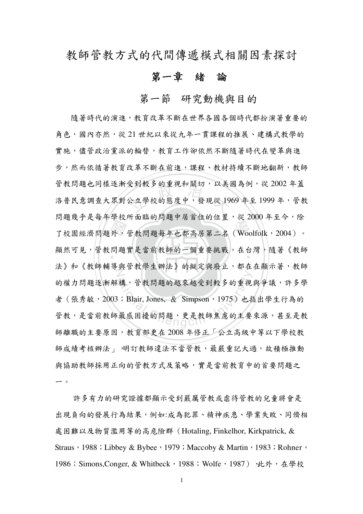教師管教方式的代間傳遞模式相關因素探討

## 第一章 緒 論

# 第一節 研究動機與目的

 國 學 Αਠ༜ᔮୢᚒѦǴᆅ௲ୢᚒԃΨଯۚಃΒӜȐWoolfolkǴ2004ȑǶ 定到敕多的重祝和關切,以美!<br>公立學校的態度中,發現從 19 ‧ ᡉฅёـǴᆅ௲ୢᚒჴࢂ௲ৣޑঁख़ाࡷᏯǶӧѠǴᒿȠ௲ৣ *法》*和《教帥輔导與官教学生辦法》的擬足與廢止,卻在在顯不者,教帥<br> 構,管教問題的越來越受到較多的重視 隨著時代的演進,教育改革不斷在世界各國各個時代都扮演著重要的 鱼色, 國內亦然, 從 21 世紀以來從九年一貫課程的推展、建構式教學的 實施,儘管政治黨派的輪替,教育工作卻依然不斷隨著時代在變革與進 步,然而依循著教育改革不斷在前進,課程、教材持續不斷地翻新,教師 管教問題也同樣逐漸受到較多的重視和關切,以美國為例,從2002年蓋 洛普民意調查大眾對公立學校的態度中,發現從 1969 年至 1999 年,管教 問題幾乎是每年學校所面臨的問題中居首位的位置,從2000年至今,除 的權力問題逐漸解構,管教問題的越來越受到較多的重視與爭議,許多學 者 (張秀敏, 2003; Blair, Jones, & Simpson, 1975) 也指出學生行為的 官教,走富厠教師菆感因擾的問題,更走教師焦慮的王要米源,甚至走教 師離職的主要原因,教育部更在 2008 年修正「公立高級中等以下學校教 師成績考核辦法 , 明訂教師違法不當管教, 最嚴重記大過, 故積極推動 與協助教師採用正向的管教方式及策略,實是當前教育中的首要問題之  $\overline{\phantom{0}}$ 

許多有力的研究證據都顯示受到嚴厲管教或虐待管教的兒童將會是 出現負向的發展行為結果,例如:成為犯罪、精神疾患、學業失敗、同儕相 處困難以及物質濫用等的高危險群 (Hotaling, Finkelhor, Kirkpatrick, & Straus  $\cdot$  1988 ; Libbey & Bybee  $\cdot$  1979 ; Maccoby & Martin  $\cdot$  1983 ; Rohner  $\cdot$ 1986;Simons,Conger, & Whitbeck,1988;Wolfe,1987) 让外,在學校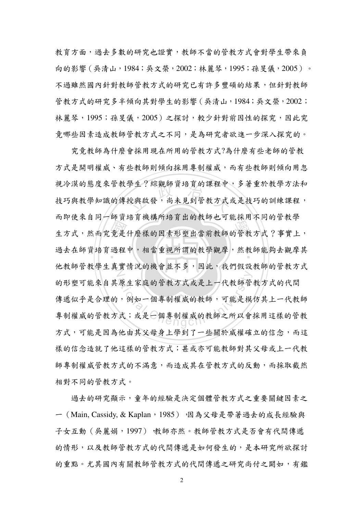教育方面, 過去多數的研究也證實, 教師不當的管教方式會對學生帶來負 向的影響 (吳清山, 1984; 吳文榮, 2002; 林麗琴, 1995; 孫旻儀, 2005)。 不過雖然國內針對教師管教方式的研究已有許多豐碩的結果,但針對教師 管教方式的研究多半傾向其對學生的影響(吳清山,1984;吳文榮,2002; 林麗琴,1995;孫旻儀,2005)之探討,較少針對前因性的探究,因此究 竟哪些因素造成教師管教方式之不同,是為研究者欲進一步深入探究的。

竟 過 土 学生: 綜觀帥頁培員的誅柱甲<br>受與啟發, 尚未見到管教方式 學 ғБԄǴฅԶزഖࢂϙሶኬޑӢન༟р௲ৣޑᆅ௲БԄǻ٣ჴǴ ‧ ၸѐӧৣၗػၸำύǴ࣬ख़ຎ܌ᒏޑ௲ᏢᢀነǴฅ௲ৣૈѐᢀነځ N д௲ৣᆅ௲Ꮲғჴޑݩᐒ٠όӭǴӢԜǴךॺଷ௲ৣޑᆅ௲БԄ 原生家庭的管教方式或是上一代教師管<br>,例如一個專制權威的教師,可能是模<br>式;或是一個專制權威的教師之所以會 究竟教師為什麼會採用現在所用的管教方式?為什麼有些老師的管教 方式是開明權威、有些教師則傾向採用專制權威,而有些教師則傾向用忽 視冷漠的態度來管教學生?綜觀師資培育的課程中,多著重於教學方法和 技巧興教学知識的得校興啟發,向木兄到官教方式或走技巧的訓練誅柱, 而即使來自同戶師資培育機構所培育出的教師也可能採用不同的管教學 的形塑可能米目其原生豕庭的官教万式或走上一代教師官教万式的代间 傳遞似乎是合理的,例如一個專制權威的教師,可能是模仿其上一代教師 專制權威的管教方式;或是一個專制權威的教師之所以會採用這樣的管教 方式,可能是因為他由其父母身上學到了一些關於威權確立的信念,而這 樣的信念造就了他這樣的管教方式;甚或亦可能教師對其父母或上一代教 師專制權威管教方活的不滿意,而造成其在管教方式的反動,而採取截然 相對不同的管教方式。

過去的研究顯示,童年的經驗是決定個體管教方式之重要關鍵因素之 一 (Main, Cassidy, & Kaplan, 1985) ,因為父母是帶著過去的成長經驗與 子女互動(吳麗娟,1997) 树師亦然。教師管教方式是否會有代間傳遞 的情形,以及教師管教方式的代間傳遞是如何發生的,是本研究所欲探討 的重點。尤其國內有關教師管教方式的代間傳遞之研究尚付之闕如,有鑑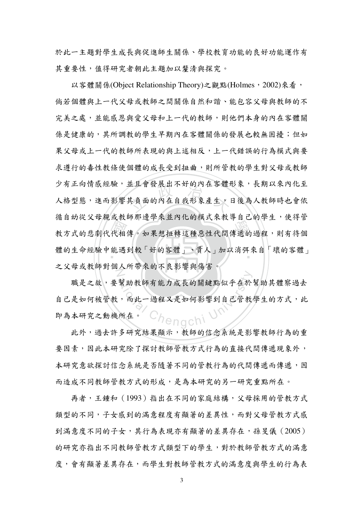於此一主題對學生成長與促進師生關係、學校教育功能的良好功能運作有 其重要性,值得研究者朝此主題加以釐清與探究。

代能」 亚旦曾赞展出个好的内在各體+<br><br><br>其負面的內在自我形象產生, 1 福口切た文字為《秋月列》第一次第六次》第1943年第一卷日的 體的生命經驗甲能過到較 ' 好的各體 」、真人 」加以消弭米目 ' 壤的各體 」<br>-之义母或教師對個人所帶來的个民彰響與傷吾。<br>| 以客體關係(Object Relationship Theory)之觀點(Holmes, 2002)來看, 倘若個體與上一代父母或教師之間關係自然和諧、能包容父母與教師的不 完美之處,並能感恩與愛父母和上一代的教師,則他們本身的內在客體關 係是健康的,其所調教的學生早期內在客體關係的發展也較無困擾;但如 果父母或上一代的教師所表現的與上述相反,上一代錯誤的行為模式與要 求遵行的毒性教條使個體的成長受到扭曲,則所管教的學生對父母或教師 少有正向情感經驗,並且會發展出不好的內在客體形象,長期以來內化至 人格型悲,進而影響共貝面的內在目我形象産生,日後為人教師時也曾依 循自幼從父母親或教師那邊學來並內化的模式來教導自己的學生,使得管

幫助教師有能力成長的關鍵點似乎在於<br>,而此一過程又是如何影響到自己管教<br>所在。 職是之故,要幫助教師有能力成長的關鍵點似乎在於幫助其體察過去 目己走如何被官教,而此一遒桂义走如何影響到目己官教学生的方式,此 即為本研究之動機所在。

此外,過去許多研究結果顯示,教師的信念系統是影響教師行為的重 要因素,因此本研究除了探討教師管教方式行為的直接代間傳遞現象外, 本研究意欲探討信念系統是否隨著不同的管教行為的代間傳遞而傳遞,因 而造成不同教師管教方式的形成,是為本研究的另一研究重點所在。

再者,王鍾和 (1993) 指出在不同的家庭結構,父母採用的管教方式 類型的不同,子女感到的滿意程度有顯著的差異性,而對父母管教方式感 到滿意度不同的子女,其行為表現亦有顯著的差異存在,孫旻儀(2005) 的研究亦指出不同教師管教方式類型下的學生,對於教師管教方式的滿意 度,會有顯著差異存在,而學生對教師管教方式的滿意度與學生的行為表

3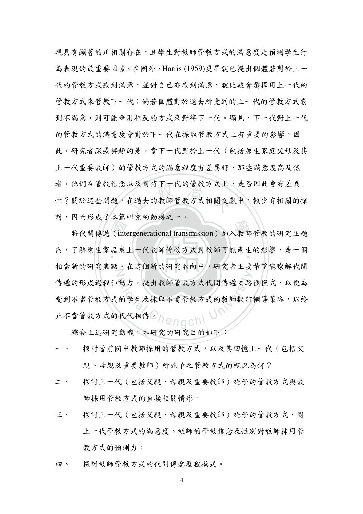以及對符ト一代的官教方式上<br>在過去的教師管教方式相關文庫 現具有顯著的正相關存在,且學生對教師管教方式的滿意度是預測學生行 為表現的最重要因素。在國外,Harris (1959)更早就已提出個體若對於上一 代的管教方式感到满自己亦感到满意,就比較會選擇用上一代的 管教方式來管教下一代;倘若個體對於過去所受到的上一代的管教方式感 到不滿意,則可能會用相反的方式來對待下一代。顯見,下一代對上一代 的管教方式出有重数方式的事物的满足有 此,研究者深感興趣的是,當下一代對於上一代(包括原生家庭父母及其 上一代重要教師)的管教方式的滿意程度有差異時,那些滿意度高及低 者,他們在管教信念以及對待下一代的管教方式上,是否因此會有差異 性? 關於這些问題,在過去的教師官教方式相關又獻甲,較少有相關的採 討,因而形成了本篇研究的動機之一。

(internation)<br>庭或 出版》及了中篇75045357版》<br>將代間傳遞(intergenerational transmission)加入教師管教的研究主題 ‧ ϣǴΑှচғৎ܈ж௲ৣᆅ௲БԄჹ௲ৣёૈౢғޑቹៜǴࢂঁ N 動力,提出教師管教方式代間傳遞之路的學生及採取不當管教方式的教師擬訂 相當新的研究焦點。在這個新的研究取向中,研究者主要希望能瞭解代間 傳遞的形成過程和動力,提出教師管教方式代間傳遞之路徑模式,以便為 **安到个富官教力武的教師擬司輔导束略,以終** 止不當管教方式的代代相傳。

綜合上述研究動機,本研究的研究目的如下:

- 探討當前國中教師採用的管教方式,以及其回憶上一代(包括父 親、母親及重要教師)所施予之管教方式的概況為何?
- 二、深討上一代(包括父親、母親及重要教師)施予的管教方式與教 師採用管教方式的直接相關情形。
- 三、深討上一代(包括父親、母親及重要教師)施予的管教方式、對 上一代管教方式的滿意度、教師的管教信念及性別對教師採用管 教方式的預測力。
- 四、 探討教師管教方式的代間傳遞歷程模式。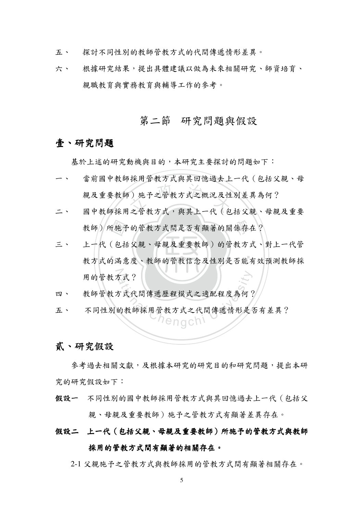- 探討不同性別的教師管教方式的代間傳遞情形差異。  $E$   $\sim$
- 根據研究結果,提出具體建議以做為未來相關研究、師資培育、 六、 親職教育與實務教育與輔導工作的參考。

# 第二節 研究問題與假設

#### 壹、研究問題

基於上述的研究動機與目的,本研究主要探討的問題如下:

- 當前國中教師採用管教方式與其回憶過去トー代(句括父親、母 親及重要教師)施予之管教方式之概況及性別差異為何?
- 國中教師採用之管教方式,與其上一代(包括父親、母親及重要  $\equiv$   $\sim$ 教師)所施予的管教方式間是否有顯著的關係存在?
- 上一代(包括父親、母親及重要教師)的管教方式、對上一代管 三、 教方式的滿意度、教師的管教信念及性別是否能有效預測教師採 用的管教方式?
- 教師管教方式代間傳遞歷程模式之適配程度為何? 四、
- 五、 不同性别的教師採用管教方式之代間傳遞情形是否有差異? henach!

#### 貳、研究假設

參考過去相關文獻,及根據本研究的研究目的和研究問題,提出本研 究的研究假設如下:

- 假設一 不同性别的國中教師採用管教方式與其回憶過去上一代(包括父 親、母親及重要教師)施予之管教方式有顯著差異存在。
- 假設二 上一代(包括父親、母親及重要教師)所施予的管教方式與教師 採用的管教方式間有顯著的相關存在。

2-1 父親施予之管教方式與教師採用的管教方式間有顯著相關存在。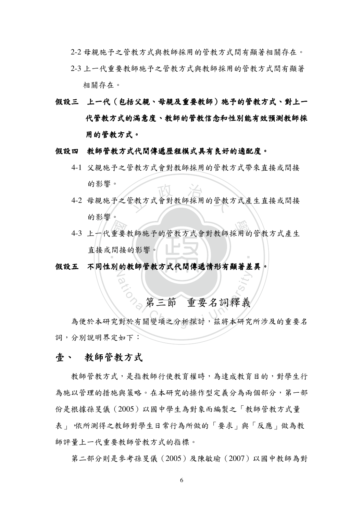2-2 母親施予之管教方式與教師採用的管教方式間有顯著相關存在。

- 2-3 上一代重要教師施予之管教方式與教師採用的管教方式間有顯著 相關存在。
- 假設三 上一代 (包括父親、母親及重要教師)施予的管教方式、對上一 代管教方式的滿意度、教師的管教信念和性別能有效預測教師採 用的管教方式。
- 假設四 教師管教方式代間傳遞歷程模式具有良好的適配度。
	- 4-1 父親施予之管教方式會對教師採用的管教方式帶來直接或間接 的影響。
	- 管教方式會對教師採用的管教 4-2 母親施予之管教方式會對教師採用的管教方式產生直接或間接 的影響。
	- 4-3 上一代重要教師施予的管教方式會對教師採用的管教方式產生<br>直接或間接的影響。<br>コーコリコリカ台第以下出現性活性子生生生生 ‧ 直接或間接的影響。
- N ଷϖ όӕ܄ձޑ௲ৣᆅ௲БԄж໔ሀԖᡉৡ౦Ƕ

# 第三節 重要名詞釋義

**Ational Chengchi University**<br>《第三節 重要名詞釋義<br>為便於本研究對於有關變項之分析探討,茲將本研究所涉及的重要名 詞,分別說明界定如下:

#### 壹、 教師管教方式

教師管教方式,是指教師行使教育權時,為達成教育目的,對學生行 為施以管理的措施與策略。在本研究的操作型定義分為兩個部分,第一部 份是根據孫旻儀 (2005) 以國中學生為對象而編製之「教師管教方式量 表 | 依所測得之教師對學生日常行為所做的「要求」與「反應」做為教 師評量上一代重要教師管教方式的指標。

第二部分則是參考孫旻儀 (2005)及陳敏瑜 (2007)以國中教師為對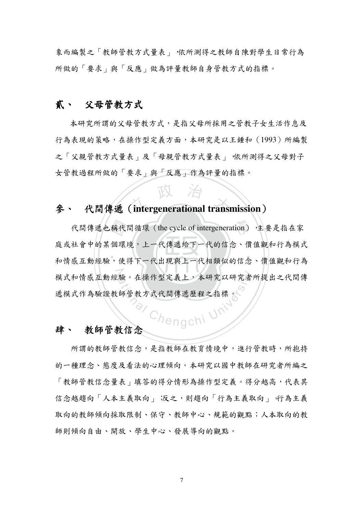象而編製之「教師管教方式量表」 依所測得之教師自陳對學生日常行為 所做的「要求」與「反應」做為評量教師自身管教方式的指標。

### 貳、 父母管教方式

本研究所謂的父母管教方式,是指父母所採用之管教子女生活作息及 行為表現的策略,在操作型定義方面,本研究是以王鍾和(1993)所編製 之「父親管教方式量表」於所測得之父母對子 女管教過程所做的「要求」與「反應」作為評量的指標。

# **多、 代間傳遞 (intergenerational transmission)**

‧‧ 代間傳遞也稱代間循環 (the cycle of intergeneration),主要是指在家<br>社會中的某個環境,上一代傳遞給下一代的信念、價值觀和行為模<br>感互動經驗,使得下一代出現與上一代相類似的信念、價值觀和行為  $\mathcal{L}_{\text{H}}$ 庭或社會中的某個環境,上一代傳遞給下一代的信念、價值觀和行為模式 和情感互動經驗,使得下一代出現與上一代相類似的信念、償值觀和行為 榠式和情感彑勯經驗。仕探作型足莪上,本研究以研究者所提出之代间得 遮模式作為驗證教師管教方式代間傳遞歷程之指標。

<sup>C</sup>hengchi Uni<sup>v</sup>

#### 肆、 教師管教信念

所謂的教師管教信念,是指教師在教育情境中,進行管教時,所抱持 的一種理念、態度及看法的心理傾向。本研究以國中教師在研究者所編之 「教師管教信念量表」填答的得分情形為操作型定義。得分越高,代表其 信念越趨向「人本主義取向」 反之,則趨向「行為主義取向」 行為主義 取向的教師傾向採取限制、保守、教師中心、規範的觀點;人本取向的教 師則傾向自由、開放、學生中心、發展導向的觀點。